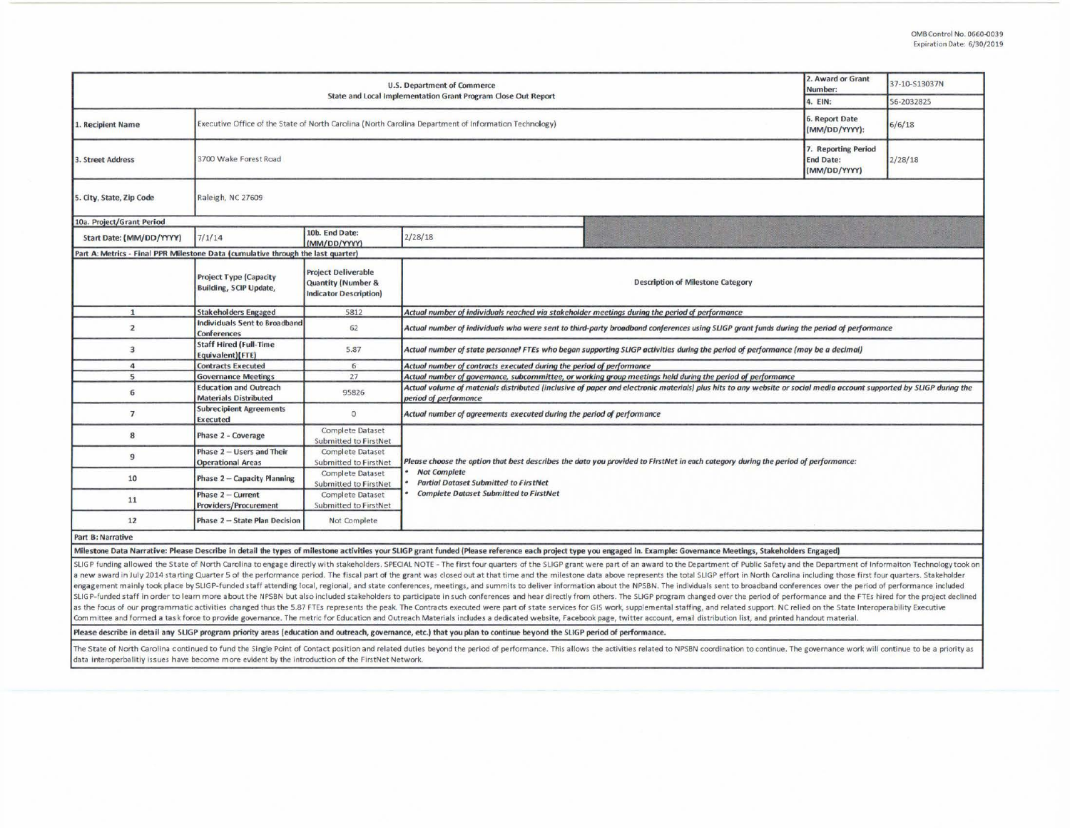| <b>U.S. Department of Commerce</b><br>State and Local Implementation Grant Program Close Out Report |                                                                                                       |                                                                                              |                                                                                                                                                                                                                                                           |         | 37-10-S13037N |  |  |  |
|-----------------------------------------------------------------------------------------------------|-------------------------------------------------------------------------------------------------------|----------------------------------------------------------------------------------------------|-----------------------------------------------------------------------------------------------------------------------------------------------------------------------------------------------------------------------------------------------------------|---------|---------------|--|--|--|
|                                                                                                     |                                                                                                       |                                                                                              |                                                                                                                                                                                                                                                           | 4. EIN: | 56-2032825    |  |  |  |
| L. Recipient Name                                                                                   | Executive Office of the State of North Carolina (North Carolina Department of Information Technology) | 6. Report Date<br>(MM/DD/YYYY):                                                              | 6/6/18                                                                                                                                                                                                                                                    |         |               |  |  |  |
| 3. Street Address                                                                                   | 3700 Wake Forest Road                                                                                 | 7. Reporting Period<br><b>End Date:</b><br>(MM/DD/YYYY)                                      | 2/28/18                                                                                                                                                                                                                                                   |         |               |  |  |  |
| 5. City, State, Zip Code                                                                            | Raleigh, NC 27609                                                                                     |                                                                                              |                                                                                                                                                                                                                                                           |         |               |  |  |  |
| 10a. Project/Grant Period                                                                           |                                                                                                       |                                                                                              |                                                                                                                                                                                                                                                           |         |               |  |  |  |
| Start Date: (MM/DD/YYYY)                                                                            | 7/1/14                                                                                                | 10b. End Date:<br>(MM/DD/YYYY)                                                               | 2/28/18                                                                                                                                                                                                                                                   |         |               |  |  |  |
| Part A: Metrics - Final PPR Milestone Data (cumulative through the last quarter)                    |                                                                                                       |                                                                                              |                                                                                                                                                                                                                                                           |         |               |  |  |  |
|                                                                                                     | <b>Project Type (Capacity</b><br><b>Building, SCIP Update,</b>                                        | <b>Project Deliverable</b><br><b>Quantity (Number &amp;</b><br><b>Indicator Description)</b> | <b>Description of Milestone Category</b>                                                                                                                                                                                                                  |         |               |  |  |  |
| $\mathbf{1}$                                                                                        | <b>Stakeholders Engaged</b>                                                                           | 5812                                                                                         | Actual number of individuals reached via stakeholder meetings during the period of performance                                                                                                                                                            |         |               |  |  |  |
| $\overline{2}$                                                                                      | Individuals Sent to Broadband<br><b>Conferences</b>                                                   | 62                                                                                           | Actual number of individuals who were sent to third-party broadband conferences using SLIGP grant funds during the period of performance                                                                                                                  |         |               |  |  |  |
| 3                                                                                                   | <b>Staff Hired (Full-Time</b><br>Equivalent)(FTE)                                                     | 5.87                                                                                         | Actual number of state personnel FTEs who began supporting SLIGP activities during the period of performance (may be a decimal)                                                                                                                           |         |               |  |  |  |
| $\overline{a}$                                                                                      | <b>Contracts Executed</b>                                                                             | 6                                                                                            | Actual number of contracts executed during the period of performance                                                                                                                                                                                      |         |               |  |  |  |
| 5                                                                                                   | <b>Governance Meetings</b>                                                                            | 27                                                                                           | Actual number of governance, subcommittee, or working group meetings held during the period of performance                                                                                                                                                |         |               |  |  |  |
| 6                                                                                                   | <b>Education and Outreach</b><br><b>Materials Distributed</b>                                         | 95826                                                                                        | Actual volume of materials distributed (inclusive of paper and electronic materials) plus hits to any website or social media account supported by SLIGP during the<br>period of performance                                                              |         |               |  |  |  |
| $\overline{ }$                                                                                      | <b>Subrecipient Agreements</b><br><b>Executed</b>                                                     | $\circ$                                                                                      | Actual number of agreements executed during the period of performance                                                                                                                                                                                     |         |               |  |  |  |
| 8                                                                                                   | Phase 2 - Coverage                                                                                    | Complete Dataset<br>Submitted to FirstNet                                                    |                                                                                                                                                                                                                                                           |         |               |  |  |  |
| 9                                                                                                   | Phase 2 - Users and Their<br><b>Operational Areas</b>                                                 | Complete Dataset<br>Submitted to FirstNet                                                    | Please choose the option that best describes the data you provided to FirstNet in each category during the period of performance:<br><b>Not Complete</b><br><b>Partial Dataset Submitted to FirstNet</b><br><b>Complete Dataset Submitted to FirstNet</b> |         |               |  |  |  |
| 10                                                                                                  | Phase 2 - Capacity Planning                                                                           | Complete Dataset<br>Submitted to FirstNet                                                    |                                                                                                                                                                                                                                                           |         |               |  |  |  |
| 11                                                                                                  | <b>Phase <math>2 -</math> Current</b><br>Providers/Procurement                                        | Complete Dataset<br>Submitted to FirstNet                                                    |                                                                                                                                                                                                                                                           |         |               |  |  |  |
| 12                                                                                                  | Phase 2 - State Plan Decision                                                                         | Not Complete                                                                                 |                                                                                                                                                                                                                                                           |         |               |  |  |  |
| <b>Part B: Narrative</b>                                                                            |                                                                                                       |                                                                                              |                                                                                                                                                                                                                                                           |         |               |  |  |  |
|                                                                                                     |                                                                                                       |                                                                                              | Milestone Data Narrative: Please Describe in detail the types of milestone activities your SLIGP grant funded (Please reference each project type you engaged in. Example: Governance Meetings, Stakeholders Engaged)                                     |         |               |  |  |  |

SLIGP funding allowed the State of North Carolina to engage directly with stakeholders. SPECIAL NOTE - The first four quarters of the SLIGP grant were part of an award to the Department of Public Safety and the Department a new award in July 2014 starting Quarter 5 of the performance period. The fiscal part of the grant was closed out at that time and the milestone data above represents the total SLIGP effort in North Carolina including tho engagement mainly took place by SLIGP-funded staff attending local, regional, and state conferences, meetings, and summits to deliver information about the NPSBN. The individuals sent to broadband conferences over the peri

SLIGP-funded staff in order to learn more about the NPSBN but also included stakeholders to participate in such conferences and hear directly from others. The SLIGP program changed over the period of performance and the FT as the focus of our programmatic activities changed thus the 5.87 FTEs represents the peak. The Contracts executed were part of state services for GIS work, supplemental staffing, and related support. NC relied on the Stat Committee and formed a task force to provide governance. The metric for Education and Outreach Materials includes a dedicated website, Facebook page, twitter account, email distribution list, and printed handout material.

Please describe in detail any SLIGP program priority areas (education and outreach, governance, etc.) that you plan to continue beyond the SLIGP period of performance.

The State of North Carolina continued to fund the Single Point of Contact position and related duties beyond the period of performance. This allows the activities related to NPSBN coordination to continue. The governance w data interoperbalitiy issues have become more evident by the introduction of the FirstNet Network.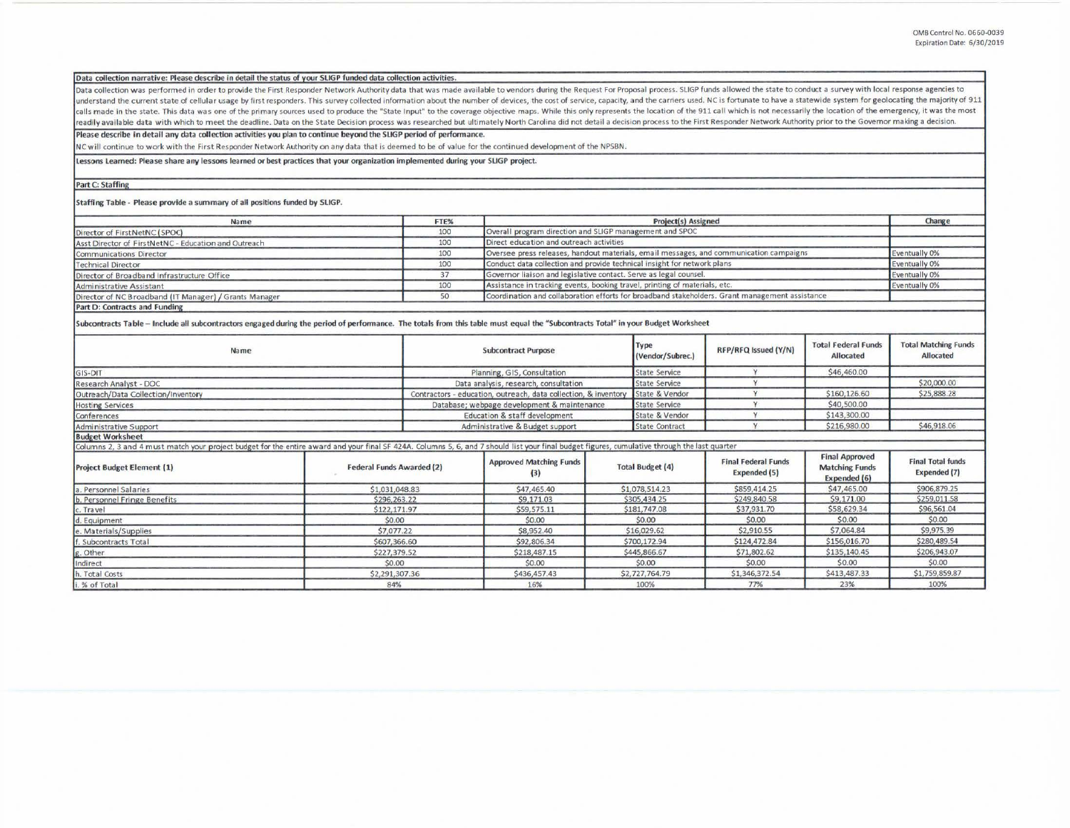## Data collection narrative: Please describe in detail the status of your SLIGP funded data collection activities.

Data collection was performed in order to provide the First Responder Network Authority data that was made available to vendors during the Request For Proposal process. SLIGP funds allowed the state to conduct a survey wit understand the current state of cellular usage by first responders. This survey collected information about the number of devices, the cost of service, capacity, and the carriers used. NC is fortunate to have a statewide s calls made in the state. This data was one of the primary sources used to produce the "State Input" to the coverage objective maps. While this only represents the location of the 911 call which is not necessarily the locat readily available data with which to meet the deadline. Data on the State Decision process was researched but ultimately North Carolina did not detail a decision process to the First Responder Network Authority prior to th

Please describe in detail any data collection activities you plan to continue beyond the SLIGP period of performance.

NC will continue to work with the First Responder Network Authority on any data that is deemed to be of value for the continued development of the NPSBN.

Lessons Learned: Please share any lessons learned or best practices that your organization implemented during your SLIGP project.

## **Part C: Staffing**

Staffing Table - Please provide a summary of all positions funded by SLIGP.

| Name                                                                                                                                                                                          | FTE%                                                            | Project(s) Assigned                                                                            |                                                         |                                                                                        |                      |                                                   | Change                                                         |                                          |
|-----------------------------------------------------------------------------------------------------------------------------------------------------------------------------------------------|-----------------------------------------------------------------|------------------------------------------------------------------------------------------------|---------------------------------------------------------|----------------------------------------------------------------------------------------|----------------------|---------------------------------------------------|----------------------------------------------------------------|------------------------------------------|
| Director of FirstNetNC (SPOC)                                                                                                                                                                 | 100                                                             |                                                                                                | Overall program direction and SLIGP management and SPOC |                                                                                        |                      |                                                   |                                                                |                                          |
| Asst Director of FirstNetNC - Education and Outreach                                                                                                                                          | 100                                                             |                                                                                                | Direct education and outreach activities                |                                                                                        |                      |                                                   |                                                                |                                          |
| Communications Director                                                                                                                                                                       |                                                                 | 100                                                                                            |                                                         | Oversee press releases, handout materials, email messages, and communication campaigns |                      |                                                   |                                                                |                                          |
| <b>Technical Director</b>                                                                                                                                                                     |                                                                 | 100                                                                                            |                                                         | Conduct data collection and provide technical insight for network plans                |                      |                                                   |                                                                |                                          |
| Director of Broadband Infrastructure Office                                                                                                                                                   |                                                                 | 37                                                                                             |                                                         | Governor liaison and legislative contact. Serve as legal counsel.                      |                      |                                                   |                                                                |                                          |
| Administrative Assistant                                                                                                                                                                      | 100                                                             | Assistance in tracking events, booking travel, printing of materials, etc.                     |                                                         |                                                                                        |                      |                                                   | Eventually 0%                                                  |                                          |
| Director of NC Broadband (IT Manager) / Grants Manager                                                                                                                                        | 50                                                              | Coordination and collaboration efforts for broadband stakeholders. Grant management assistance |                                                         |                                                                                        |                      |                                                   |                                                                |                                          |
| Part D: Contracts and Funding                                                                                                                                                                 |                                                                 |                                                                                                |                                                         |                                                                                        |                      |                                                   |                                                                |                                          |
| Subcontracts Table - Include all subcontractors engaged during the period of performance. The totals from this table must equal the "Subcontracts Total" in your Budget Worksheet             |                                                                 |                                                                                                |                                                         |                                                                                        |                      |                                                   |                                                                |                                          |
| Name                                                                                                                                                                                          |                                                                 | <b>Subcontract Purpose</b>                                                                     |                                                         | Type<br>(Vendor/Subrec.)                                                               | RFP/RFQ Issued (Y/N) | <b>Total Federal Funds</b><br><b>Allocated</b>    | <b>Total Matching Funds</b><br>Allocated                       |                                          |
| GIS-DIT                                                                                                                                                                                       | Planning, GIS, Consultation                                     |                                                                                                | <b>State Service</b>                                    | Y                                                                                      | \$46,460.00          |                                                   |                                                                |                                          |
| Research Analyst - DOC                                                                                                                                                                        | Data analysis, research, consultation                           |                                                                                                | <b>State Service</b>                                    | Y                                                                                      |                      | \$20,000.00                                       |                                                                |                                          |
| Outreach/Data Collection/Inventory                                                                                                                                                            | Contractors - education, outreach, data collection, & inventory |                                                                                                | State & Vendor                                          | Y                                                                                      | \$160,126.60         | \$25,888.28                                       |                                                                |                                          |
| <b>Hosting Services</b>                                                                                                                                                                       |                                                                 | Database; webpage development & maintenance                                                    |                                                         | <b>State Service</b>                                                                   | Y                    | \$40,500.00                                       |                                                                |                                          |
| Conferences                                                                                                                                                                                   | Education & staff development                                   |                                                                                                | State & Vendor                                          | Y                                                                                      | \$143,300.00         |                                                   |                                                                |                                          |
| Administrative Support                                                                                                                                                                        |                                                                 | Administrative & Budget support                                                                |                                                         | <b>State Contract</b>                                                                  | $\vee$               | \$216,980.00                                      | \$46,918.06                                                    |                                          |
| <b>Budget Worksheet</b>                                                                                                                                                                       |                                                                 |                                                                                                |                                                         |                                                                                        |                      |                                                   |                                                                |                                          |
| Columns 2, 3 and 4 must match your project budget for the entire award and your final SF 424A. Columns 5, 6, and 7 should list your final budget figures, cumulative through the last quarter |                                                                 |                                                                                                |                                                         |                                                                                        |                      |                                                   |                                                                |                                          |
| <b>Project Budget Element (1)</b>                                                                                                                                                             | <b>Federal Funds Awarded (2)</b>                                |                                                                                                | <b>Approved Matching Funds</b><br>(3)                   | <b>Total Budget (4)</b>                                                                |                      | <b>Final Federal Funds</b><br><b>Expended (5)</b> | <b>Final Approved</b><br><b>Matching Funds</b><br>Expended (6) | <b>Final Total funds</b><br>Expended (7) |
| a. Personnel Salaries                                                                                                                                                                         | \$1,031,048.83                                                  |                                                                                                | \$47,465.40                                             |                                                                                        | \$1,078,514.23       | \$859,414.25                                      | \$47,465.00                                                    | \$906,879.25                             |
| b. Personnel Fringe Benefits                                                                                                                                                                  |                                                                 | \$296,263.22                                                                                   |                                                         | \$305,434.25                                                                           |                      | \$249,840.58                                      | \$9,171.00                                                     | \$259,011.58                             |
| c. Travel                                                                                                                                                                                     |                                                                 | \$122,171.97                                                                                   |                                                         | \$181,747.08                                                                           |                      | \$37,931.70                                       | \$58,629.34                                                    | \$96,561.04                              |
| d. Equipment                                                                                                                                                                                  |                                                                 | \$0.00                                                                                         |                                                         | \$0.00                                                                                 |                      | \$0,00                                            | \$0.00                                                         | \$0.00                                   |
| e. Materials/Supplies                                                                                                                                                                         |                                                                 | \$7,077.22                                                                                     |                                                         | \$16,029.62                                                                            |                      | \$2,910.55                                        | \$7,064.84                                                     | \$9,975.39                               |
| f. Subcontracts Total                                                                                                                                                                         |                                                                 | \$607,366.60                                                                                   |                                                         | \$700,172.94                                                                           |                      | \$124,472.84                                      | \$156,016.70                                                   | \$280,489.54                             |
| g. Other                                                                                                                                                                                      |                                                                 | \$227,379.52                                                                                   |                                                         | \$445,866.67                                                                           |                      | \$71,802.62                                       | \$135,140.45                                                   | \$206,943.07                             |
| Indirect                                                                                                                                                                                      | \$0.00                                                          |                                                                                                | \$0.00                                                  | \$0.00                                                                                 |                      | \$0.00                                            | \$0.00                                                         | \$0.00                                   |
| h. Total Costs                                                                                                                                                                                | \$2,291,307.36                                                  |                                                                                                | \$436,457.43                                            | \$2,727,764.79                                                                         |                      | \$1,346,372.54                                    | \$413,487.33                                                   | \$1,759,859.87                           |
| i. % of Total                                                                                                                                                                                 | 84%                                                             |                                                                                                | 16%                                                     | 100%                                                                                   |                      | 77%                                               | 23%                                                            | 100%                                     |